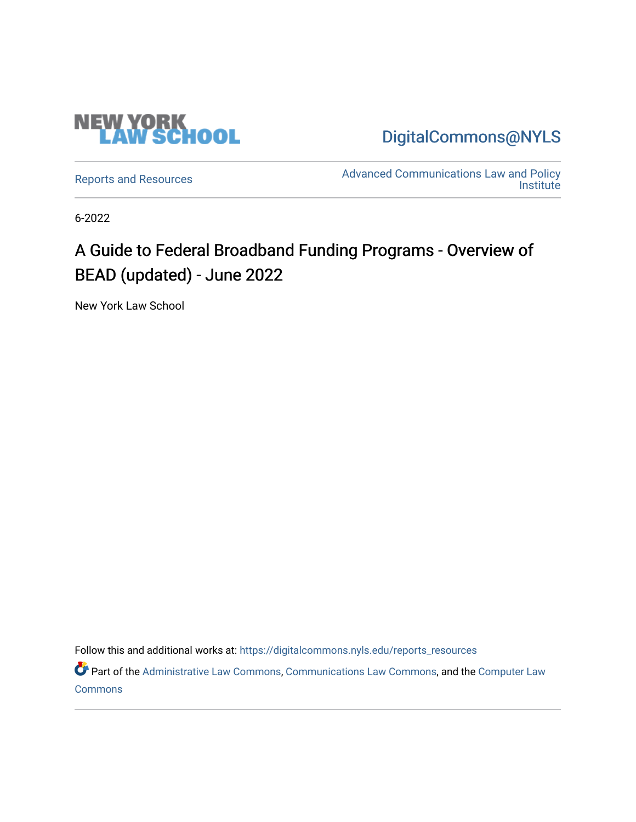

[DigitalCommons@NYLS](https://digitalcommons.nyls.edu/) 

[Reports and Resources](https://digitalcommons.nyls.edu/reports_resources) **Advanced Communications Law and Policy** Reports and Resources **Institute** 

6-2022

# A Guide to Federal Broadband Funding Programs - Overview of BEAD (updated) - June 2022

New York Law School

Follow this and additional works at: [https://digitalcommons.nyls.edu/reports\\_resources](https://digitalcommons.nyls.edu/reports_resources?utm_source=digitalcommons.nyls.edu%2Freports_resources%2F5&utm_medium=PDF&utm_campaign=PDFCoverPages)

Part of the [Administrative Law Commons,](https://network.bepress.com/hgg/discipline/579?utm_source=digitalcommons.nyls.edu%2Freports_resources%2F5&utm_medium=PDF&utm_campaign=PDFCoverPages) [Communications Law Commons,](https://network.bepress.com/hgg/discipline/587?utm_source=digitalcommons.nyls.edu%2Freports_resources%2F5&utm_medium=PDF&utm_campaign=PDFCoverPages) and the [Computer Law](https://network.bepress.com/hgg/discipline/837?utm_source=digitalcommons.nyls.edu%2Freports_resources%2F5&utm_medium=PDF&utm_campaign=PDFCoverPages) [Commons](https://network.bepress.com/hgg/discipline/837?utm_source=digitalcommons.nyls.edu%2Freports_resources%2F5&utm_medium=PDF&utm_campaign=PDFCoverPages)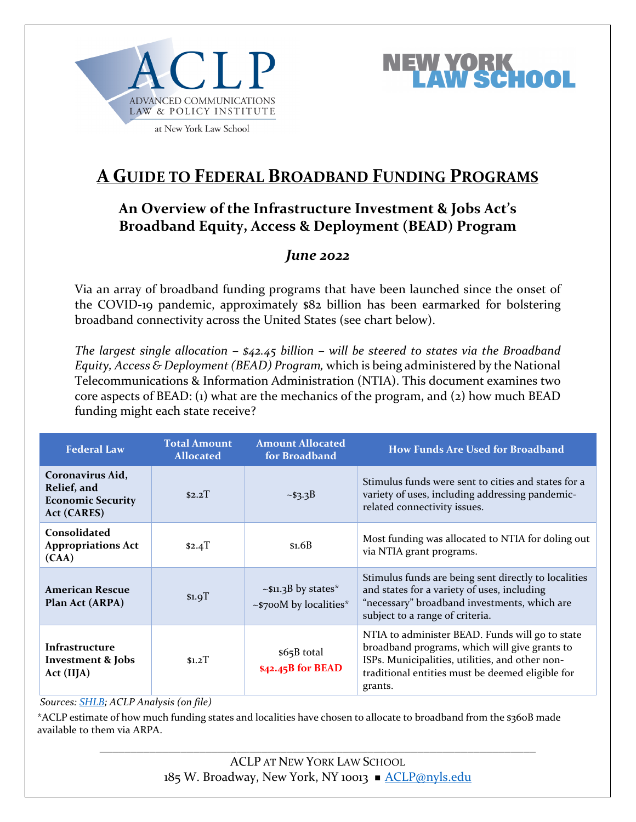

**NORK<br>Wischool** 

at New York Law School

## **A GUIDE TO FEDERAL BROADBAND FUNDING PROGRAMS**

### **An Overview of the Infrastructure Investment & Jobs Act's Broadband Equity, Access & Deployment (BEAD) Program**

### *June 2022*

Via an array of broadband funding programs that have been launched since the onset of the COVID-19 pandemic, approximately \$82 billion has been earmarked for bolstering broadband connectivity across the United States (see chart below).

*The largest single allocation – \$42.45 billion – will be steered to states via the Broadband Equity, Access & Deployment (BEAD) Program,* which is being administered by the National Telecommunications & Information Administration (NTIA). This document examines two core aspects of BEAD: (1) what are the mechanics of the program, and (2) how much BEAD funding might each state receive?

| <b>Federal Law</b>                                                                | <b>Total Amount</b><br><b>Allocated</b> | <b>Amount Allocated</b><br>for Broadband                  | <b>How Funds Are Used for Broadband</b>                                                                                                                                                                            |
|-----------------------------------------------------------------------------------|-----------------------------------------|-----------------------------------------------------------|--------------------------------------------------------------------------------------------------------------------------------------------------------------------------------------------------------------------|
| Coronavirus Aid,<br>Relief, and<br><b>Economic Security</b><br><b>Act (CARES)</b> | \$2.2T                                  | ~53.3B                                                    | Stimulus funds were sent to cities and states for a<br>variety of uses, including addressing pandemic-<br>related connectivity issues.                                                                             |
| Consolidated<br><b>Appropriations Act</b><br>(CAA)                                | $$2.4$ T                                | \$1.6B                                                    | Most funding was allocated to NTIA for doling out<br>via NTIA grant programs.                                                                                                                                      |
| <b>American Rescue</b><br>Plan Act (ARPA)                                         | $$1.9$ T                                | $\sim$ \$11.3B by states*<br>$\sim$ \$700M by localities* | Stimulus funds are being sent directly to localities<br>and states for a variety of uses, including<br>"necessary" broadband investments, which are<br>subject to a range of criteria.                             |
| Infrastructure<br>Investment & Jobs<br>Act (IIJA)                                 | S1.2T                                   | \$65B total<br>\$42.45B for BEAD                          | NTIA to administer BEAD. Funds will go to state<br>broadband programs, which will give grants to<br>ISPs. Municipalities, utilities, and other non-<br>traditional entities must be deemed eligible for<br>grants. |

#### *Sources: [SHLB;](https://www.shlb.org/blog/2021/03/Why-didnt-the-CARES-Act-solve-the-digital-divide/) ACLP Analysis (on file)*

\*ACLP estimate of how much funding states and localities have chosen to allocate to broadband from the \$360B made available to them via ARPA.

> ACLP AT NEW YORK LAW SCHOOL 185 W. Broadway, New York, NY 10013 ACLP@nyls.edu

\_\_\_\_\_\_\_\_\_\_\_\_\_\_\_\_\_\_\_\_\_\_\_\_\_\_\_\_\_\_\_\_\_\_\_\_\_\_\_\_\_\_\_\_\_\_\_\_\_\_\_\_\_\_\_\_\_\_\_\_\_\_\_\_\_\_\_\_\_\_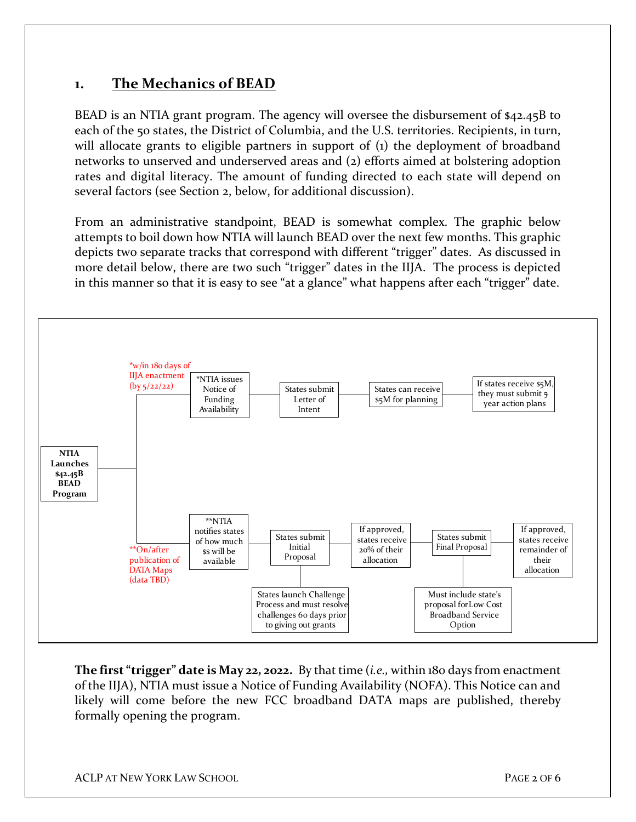### **1. The Mechanics of BEAD**

BEAD is an NTIA grant program. The agency will oversee the disbursement of \$42.45B to each of the 50 states, the District of Columbia, and the U.S. territories. Recipients, in turn, will allocate grants to eligible partners in support of (1) the deployment of broadband networks to unserved and underserved areas and (2) efforts aimed at bolstering adoption rates and digital literacy. The amount of funding directed to each state will depend on several factors (see Section 2, below, for additional discussion).

From an administrative standpoint, BEAD is somewhat complex. The graphic below attempts to boil down how NTIA will launch BEAD over the next few months. This graphic depicts two separate tracks that correspond with different "trigger" dates. As discussed in more detail below, there are two such "trigger" dates in the IIJA. The process is depicted in this manner so that it is easy to see "at a glance" what happens after each "trigger" date.



**The first "trigger" date is May 22, 2022.** By that time (*i.e.,* within 180 days from enactment of the IIJA), NTIA must issue a Notice of Funding Availability (NOFA). This Notice can and likely will come before the new FCC broadband DATA maps are published, thereby formally opening the program.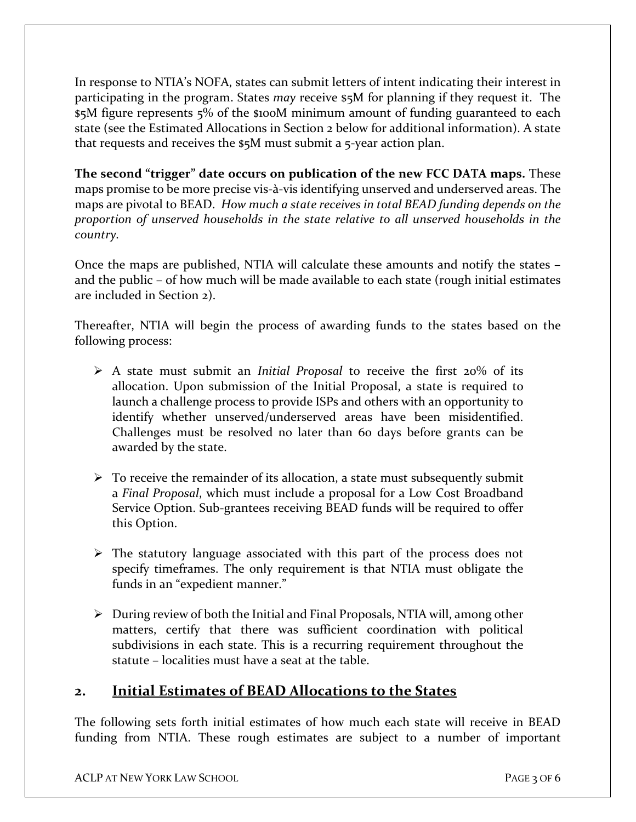In response to NTIA's NOFA, states can submit letters of intent indicating their interest in participating in the program. States *may* receive \$5M for planning if they request it. The \$5M figure represents 5% of the \$100M minimum amount of funding guaranteed to each state (see the Estimated Allocations in Section 2 below for additional information). A state that requests and receives the \$5M must submit a 5-year action plan.

**The second "trigger" date occurs on publication of the new FCC DATA maps.** These maps promise to be more precise vis-à-vis identifying unserved and underserved areas. The maps are pivotal to BEAD. *How much a state receives in total BEAD funding depends on the proportion of unserved households in the state relative to all unserved households in the country.*

Once the maps are published, NTIA will calculate these amounts and notify the states – and the public – of how much will be made available to each state (rough initial estimates are included in Section 2).

Thereafter, NTIA will begin the process of awarding funds to the states based on the following process:

- A state must submit an *Initial Proposal* to receive the first 20% of its allocation. Upon submission of the Initial Proposal, a state is required to launch a challenge process to provide ISPs and others with an opportunity to identify whether unserved/underserved areas have been misidentified. Challenges must be resolved no later than 60 days before grants can be awarded by the state.
- $\triangleright$  To receive the remainder of its allocation, a state must subsequently submit a *Final Proposal*, which must include a proposal for a Low Cost Broadband Service Option. Sub-grantees receiving BEAD funds will be required to offer this Option.
- $\triangleright$  The statutory language associated with this part of the process does not specify timeframes. The only requirement is that NTIA must obligate the funds in an "expedient manner."
- $\triangleright$  During review of both the Initial and Final Proposals, NTIA will, among other matters, certify that there was sufficient coordination with political subdivisions in each state. This is a recurring requirement throughout the statute – localities must have a seat at the table.

### **2. Initial Estimates of BEAD Allocations to the States**

The following sets forth initial estimates of how much each state will receive in BEAD funding from NTIA. These rough estimates are subject to a number of important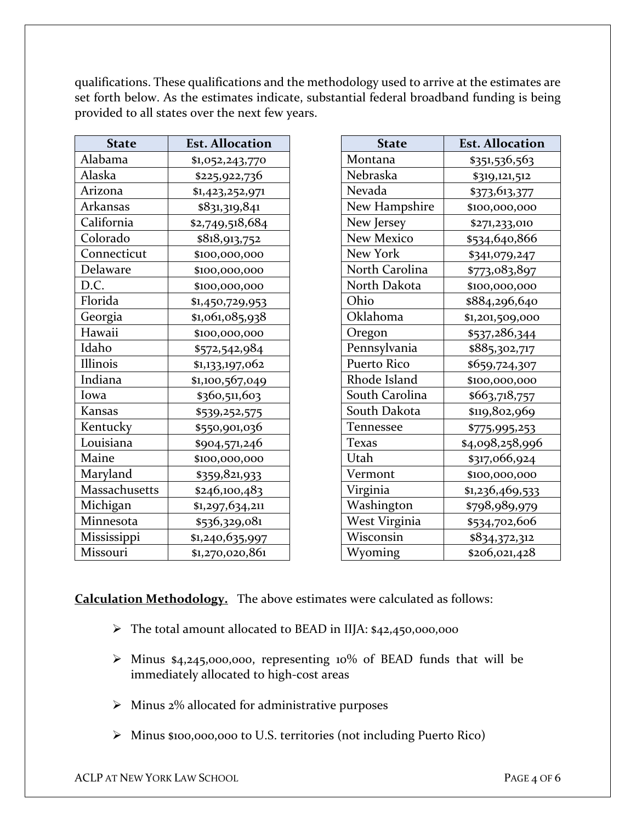qualifications. These qualifications and the methodology used to arrive at the estimates are set forth below. As the estimates indicate, substantial federal broadband funding is being provided to all states over the next few years.

| <b>State</b>         | <b>Est. Allocation</b> |
|----------------------|------------------------|
| Alabama              | \$1,052,243,770        |
| Alaska               | \$225,922,736          |
| Arizona              | \$1,423,252,971        |
| <b>Arkansas</b>      | \$831,319,841          |
| California           | \$2,749,518,684        |
| Colorado             | \$818,913,752          |
| Connecticut          | \$100,000,000          |
| Delaware             | \$100,000,000          |
| D.C.                 | \$100,000,000          |
| Florida              | \$1,450,729,953        |
| Georgia              | \$1,061,085,938        |
| Hawaii               | \$100,000,000          |
| Idaho                | \$572,542,984          |
| Illinois             | \$1,133,197,062        |
| Indiana              | \$1,100,567,049        |
| Iowa                 | \$360,511,603          |
| Kansas               | \$539,252,575          |
| Kentucky             | \$550,901,036          |
| Louisiana            | \$904,571,246          |
| Maine                | \$100,000,000          |
| Maryland             | \$359,821,933          |
| <b>Massachusetts</b> | \$246,100,483          |
| Michigan             | \$1,297,634,211        |
| Minnesota            | \$536,329,081          |
| Mississippi          | \$1,240,635,997        |
| Missouri             | \$1,270,020,861        |

| <b>State</b>      | <b>Est. Allocation</b> |
|-------------------|------------------------|
| Montana           | \$351,536,563          |
| Nebraska          | \$319,121,512          |
| Nevada            | \$373,613,377          |
| New Hampshire     | \$100,000,000          |
| New Jersey        | \$271,233,010          |
| <b>New Mexico</b> | \$534,640,866          |
| <b>New York</b>   | \$341,079,247          |
| North Carolina    | \$773,083,897          |
| North Dakota      | \$100,000,000          |
| Ohio              | \$884,296,640          |
| Oklahoma          | \$1,201,509,000        |
| Oregon            | \$537,286,344          |
| Pennsylvania      | \$885,302,717          |
| Puerto Rico       | \$659,724,307          |
| Rhode Island      | \$100,000,000          |
| South Carolina    | \$663,718,757          |
| South Dakota      | \$119,802,969          |
| Tennessee         | \$775,995,253          |
| Texas             | \$4,098,258,996        |
| Utah              | \$317,066,924          |
| Vermont           | \$100,000,000          |
| Virginia          | \$1,236,469,533        |
| Washington        | \$798 <u>,989,979</u>  |
| West Virginia     | \$534,702,606          |
| Wisconsin         | \$834,372,312          |
| Wyoming           | \$206,021,428          |

**Calculation Methodology.** The above estimates were calculated as follows:

- The total amount allocated to BEAD in IIJA: \$42,450,000,000
- Minus \$4,245,000,000, representing 10% of BEAD funds that will be immediately allocated to high-cost areas
- $\triangleright$  Minus 2% allocated for administrative purposes
- Minus \$100,000,000 to U.S. territories (not including Puerto Rico)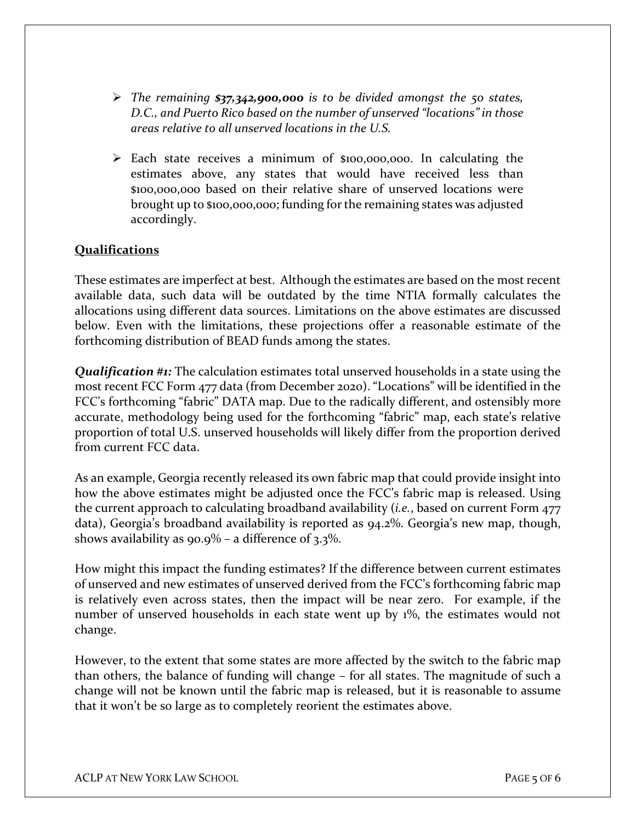- *The remaining \$37,342,900,000 is to be divided amongst the 50 states, D.C., and Puerto Rico based on the number of unserved "locations" in those areas relative to all unserved locations in the U.S.*
- Each state receives a minimum of \$100,000,000. In calculating the estimates above, any states that would have received less than \$100,000,000 based on their relative share of unserved locations were brought up to \$100,000,000; funding for the remaining states was adjusted accordingly.

#### **Qualifications**

These estimates are imperfect at best. Although the estimates are based on the most recent available data, such data will be outdated by the time NTIA formally calculates the allocations using different data sources. Limitations on the above estimates are discussed below. Even with the limitations, these projections offer a reasonable estimate of the forthcoming distribution of BEAD funds among the states.

*Qualification #1:* The calculation estimates total unserved households in a state using the most recent FCC Form 477 data (from December 2020). "Locations" will be identified in the FCC's forthcoming "fabric" DATA map. Due to the radically different, and ostensibly more accurate, methodology being used for the forthcoming "fabric" map, each state's relative proportion of total U.S. unserved households will likely differ from the proportion derived from current FCC data.

As an example, Georgia recently released its own [fabric map](https://broadband.georgia.gov/2021-georgia-broadband-availability-map) that could provide insight into how the above estimates might be adjusted once the FCC's fabric map is released. Using the current approach to calculating broadband availability (*i.e.*, based on current Form 477 data), Georgia's broadband availability is reported as 94.2%. Georgia's new map, though, shows availability as  $90.9\%$  – a difference of 3.3%.

How might this impact the funding estimates? If the difference between current estimates of unserved and new estimates of unserved derived from the FCC's forthcoming fabric map is relatively even across states, then the impact will be near zero. For example, if the number of unserved households in each state went up by 1%, the estimates would not change.

However, to the extent that some states are more affected by the switch to the fabric map than others, the balance of funding will change – for all states. The magnitude of such a change will not be known until the fabric map is released, but it is reasonable to assume that it won't be so large as to completely reorient the estimates above.